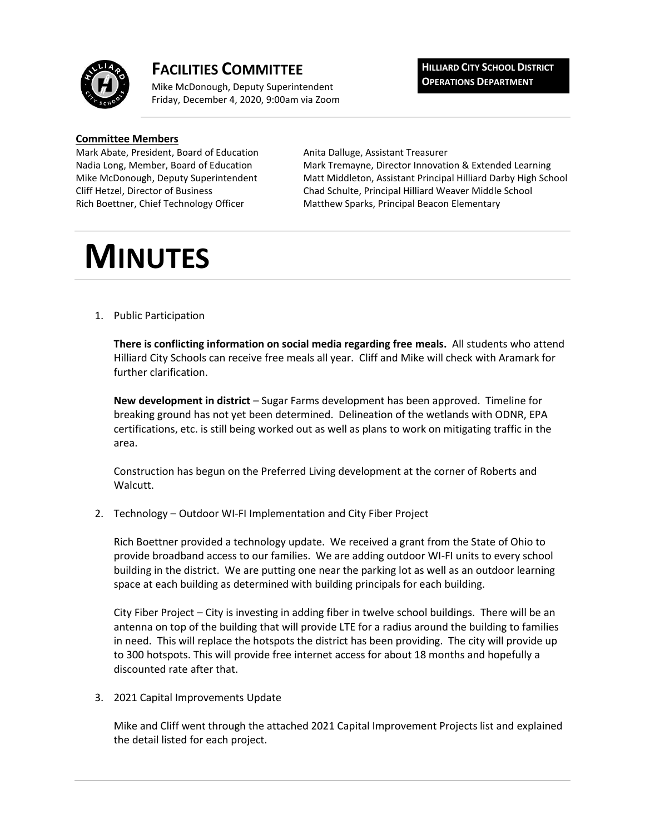

## **FACILITIES COMMITTEE**

Mike McDonough, Deputy Superintendent Friday, December 4, 2020, 9:00am via Zoom **HILLIARD CITY SCHOOL DISTRICT OPERATIONS DEPARTMENT**

## **Committee Members**

Mark Abate, President, Board of Education Anita Dalluge, Assistant Treasurer

Nadia Long, Member, Board of Education Mark Tremayne, Director Innovation & Extended Learning Mike McDonough, Deputy Superintendent Matt Middleton, Assistant Principal Hilliard Darby High School Cliff Hetzel, Director of Business Chad Schulte, Principal Hilliard Weaver Middle School Rich Boettner, Chief Technology Officer Matthew Sparks, Principal Beacon Elementary

## **MINUTES**

1. Public Participation

**There is conflicting information on social media regarding free meals.** All students who attend Hilliard City Schools can receive free meals all year. Cliff and Mike will check with Aramark for further clarification.

**New development in district** – Sugar Farms development has been approved. Timeline for breaking ground has not yet been determined. Delineation of the wetlands with ODNR, EPA certifications, etc. is still being worked out as well as plans to work on mitigating traffic in the area.

Construction has begun on the Preferred Living development at the corner of Roberts and Walcutt.

2. Technology – Outdoor WI-FI Implementation and City Fiber Project

Rich Boettner provided a technology update. We received a grant from the State of Ohio to provide broadband access to our families. We are adding outdoor WI-FI units to every school building in the district. We are putting one near the parking lot as well as an outdoor learning space at each building as determined with building principals for each building.

City Fiber Project – City is investing in adding fiber in twelve school buildings. There will be an antenna on top of the building that will provide LTE for a radius around the building to families in need. This will replace the hotspots the district has been providing. The city will provide up to 300 hotspots. This will provide free internet access for about 18 months and hopefully a discounted rate after that.

3. 2021 Capital Improvements Update

Mike and Cliff went through the attached 2021 Capital Improvement Projects list and explained the detail listed for each project.